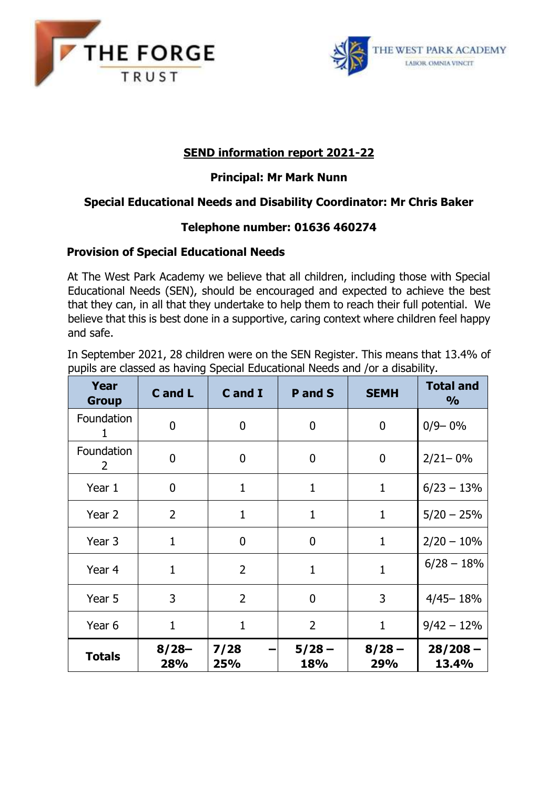



# **SEND information report 2021-22**

## **Principal: Mr Mark Nunn**

## **Special Educational Needs and Disability Coordinator: Mr Chris Baker**

## **Telephone number: 01636 460274**

### **Provision of Special Educational Needs**

At The West Park Academy we believe that all children, including those with Special Educational Needs (SEN), should be encouraged and expected to achieve the best that they can, in all that they undertake to help them to reach their full potential. We believe that this is best done in a supportive, caring context where children feel happy and safe.

In September 2021, 28 children were on the SEN Register. This means that 13.4% of pupils are classed as having Special Educational Needs and /or a disability.

| Year<br><b>Group</b> | C and L        | C and I        | P and S         | <b>SEMH</b>     | <b>Total and</b><br>$\frac{6}{6}$ |
|----------------------|----------------|----------------|-----------------|-----------------|-----------------------------------|
| Foundation<br>1      | $\overline{0}$ | $\overline{0}$ | $\overline{0}$  | 0               | $0/9 - 0\%$                       |
| Foundation<br>2      | $\overline{0}$ | 0              | $\overline{0}$  | 0               | $2/21 - 0\%$                      |
| Year 1               | $\mathbf 0$    | 1              | $\mathbf{1}$    | $\mathbf{1}$    | $6/23 - 13%$                      |
| Year 2               | $\overline{2}$ | $\mathbf{1}$   | $\mathbf{1}$    | 1               | $5/20 - 25%$                      |
| Year 3               | $\mathbf{1}$   | $\overline{0}$ | $\overline{0}$  | $\mathbf{1}$    | $2/20 - 10%$                      |
| Year 4               | $\mathbf{1}$   | $\overline{2}$ | $\mathbf{1}$    | $\mathbf{1}$    | $6/28 - 18%$                      |
| Year 5               | 3              | $\overline{2}$ | $\overline{0}$  | 3               | $4/45 - 18%$                      |
| Year 6               | 1              | 1              | $\overline{2}$  | 1               | $9/42 - 12%$                      |
| <b>Totals</b>        | $8/28-$<br>28% | 7/28<br>25%    | $5/28 -$<br>18% | $8/28 -$<br>29% | $28/208 -$<br>13.4%               |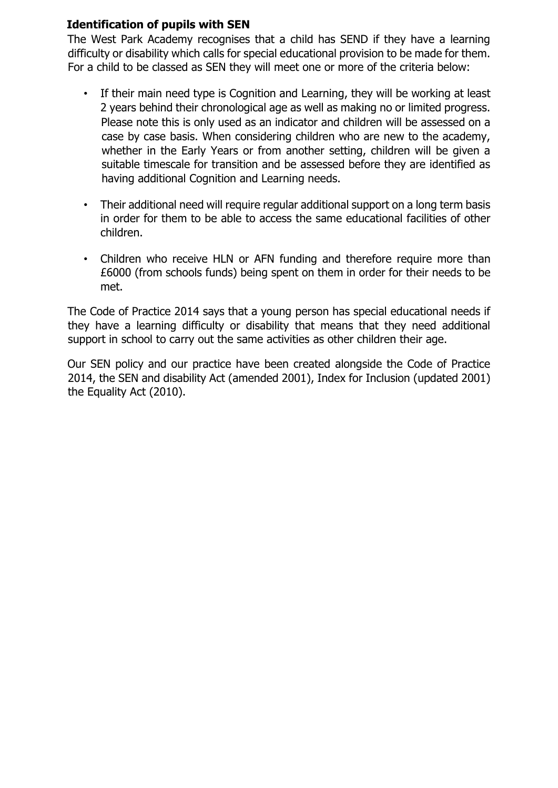## **Identification of pupils with SEN**

The West Park Academy recognises that a child has SEND if they have a learning difficulty or disability which calls for special educational provision to be made for them. For a child to be classed as SEN they will meet one or more of the criteria below:

- If their main need type is Cognition and Learning, they will be working at least 2 years behind their chronological age as well as making no or limited progress. Please note this is only used as an indicator and children will be assessed on a case by case basis. When considering children who are new to the academy, whether in the Early Years or from another setting, children will be given a suitable timescale for transition and be assessed before they are identified as having additional Cognition and Learning needs.
- Their additional need will require reqular additional support on a long term basis in order for them to be able to access the same educational facilities of other children.
- Children who receive HLN or AFN funding and therefore require more than £6000 (from schools funds) being spent on them in order for their needs to be met.

The Code of Practice 2014 says that a young person has special educational needs if they have a learning difficulty or disability that means that they need additional support in school to carry out the same activities as other children their age.

Our SEN policy and our practice have been created alongside the Code of Practice 2014, the SEN and disability Act (amended 2001), Index for Inclusion (updated 2001) the Equality Act (2010).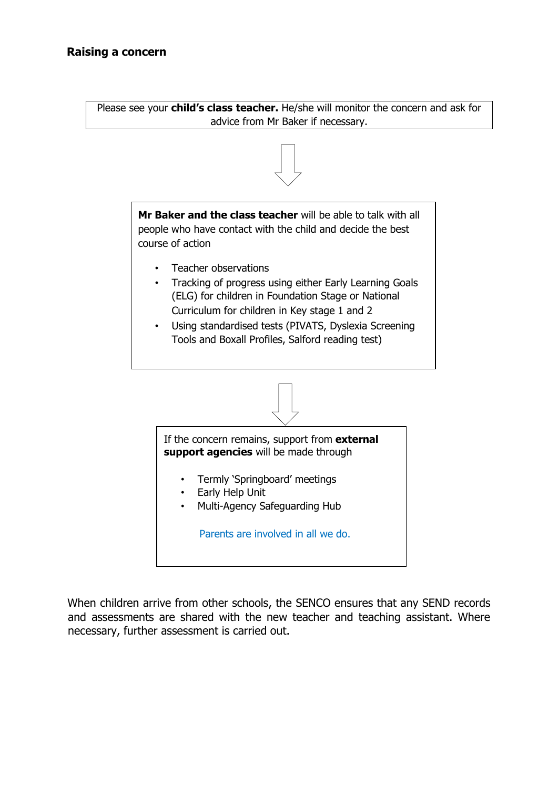Please see your **child's class teacher.** He/she will monitor the concern and ask for advice from Mr Baker if necessary.



When children arrive from other schools, the SENCO ensures that any SEND records and assessments are shared with the new teacher and teaching assistant. Where necessary, further assessment is carried out.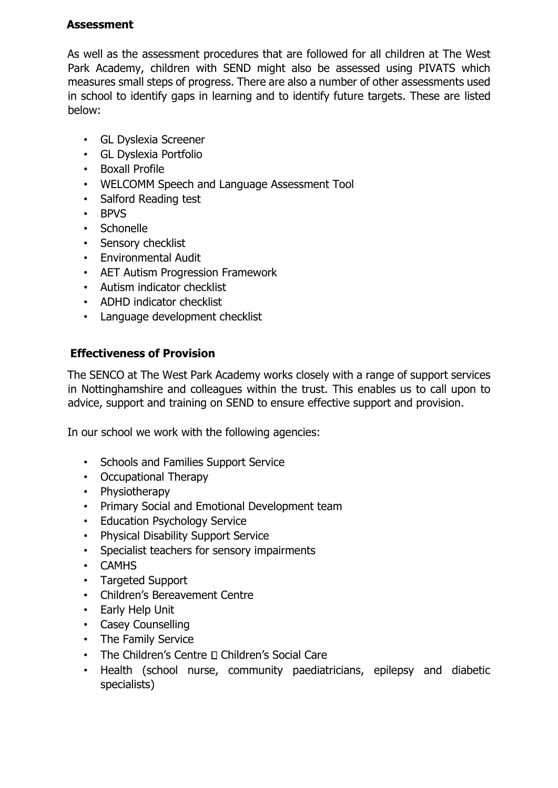## **Assessment**

As well as the assessment procedures that are followed for all children at The West Park Academy, children with SEND might also be assessed using PIVATS which measures small steps of progress. There are also a number of other assessments used in school to identify gaps in learning and to identify future targets. These are listed below:

- GL Dyslexia Screener
- GL Dyslexia Portfolio
- Boxall Profile
- WELCOMM Speech and Language Assessment Tool
- Salford Reading test
- BPVS
- Schonelle
- Sensory checklist
- Environmental Audit
- AET Autism Progression Framework
- Autism indicator checklist
- ADHD indicator checklist
- Language development checklist

## **Effectiveness of Provision**

The SENCO at The West Park Academy works closely with a range of support services in Nottinghamshire and colleagues within the trust. This enables us to call upon to advice, support and training on SEND to ensure effective support and provision.

In our school we work with the following agencies:

- Schools and Families Support Service
- Occupational Therapy
- Physiotherapy
- Primary Social and Emotional Development team
- Education Psychology Service
- Physical Disability Support Service
- Specialist teachers for sensory impairments
- CAMHS
- Targeted Support
- Children's Bereavement Centre
- Early Help Unit
- Casey Counselling
- The Family Service
- The Children's Centre  $\Box$  Children's Social Care
- Health (school nurse, community paediatricians, epilepsy and diabetic specialists)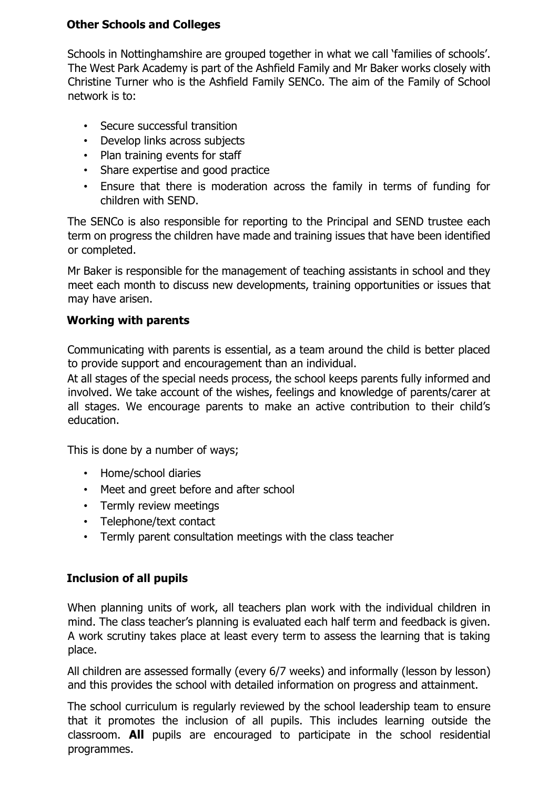## **Other Schools and Colleges**

Schools in Nottinghamshire are grouped together in what we call 'families of schools'. The West Park Academy is part of the Ashfield Family and Mr Baker works closely with Christine Turner who is the Ashfield Family SENCo. The aim of the Family of School network is to:

- Secure successful transition
- Develop links across subjects
- Plan training events for staff
- Share expertise and good practice
- Ensure that there is moderation across the family in terms of funding for children with SEND.

The SENCo is also responsible for reporting to the Principal and SEND trustee each term on progress the children have made and training issues that have been identified or completed.

Mr Baker is responsible for the management of teaching assistants in school and they meet each month to discuss new developments, training opportunities or issues that may have arisen.

## **Working with parents**

Communicating with parents is essential, as a team around the child is better placed to provide support and encouragement than an individual.

At all stages of the special needs process, the school keeps parents fully informed and involved. We take account of the wishes, feelings and knowledge of parents/carer at all stages. We encourage parents to make an active contribution to their child's education.

This is done by a number of ways;

- Home/school diaries
- Meet and greet before and after school
- Termly review meetings
- Telephone/text contact
- Termly parent consultation meetings with the class teacher

### **Inclusion of all pupils**

When planning units of work, all teachers plan work with the individual children in mind. The class teacher's planning is evaluated each half term and feedback is given. A work scrutiny takes place at least every term to assess the learning that is taking place.

All children are assessed formally (every 6/7 weeks) and informally (lesson by lesson) and this provides the school with detailed information on progress and attainment.

The school curriculum is regularly reviewed by the school leadership team to ensure that it promotes the inclusion of all pupils. This includes learning outside the classroom. **All** pupils are encouraged to participate in the school residential programmes.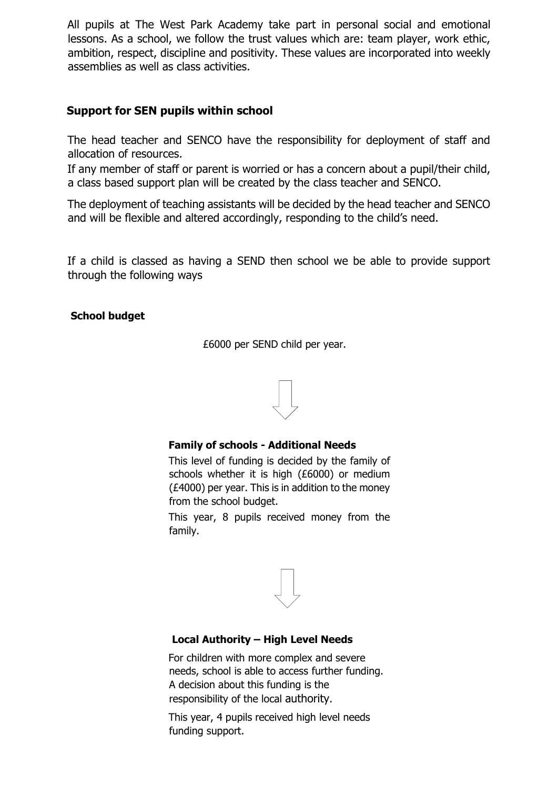All pupils at The West Park Academy take part in personal social and emotional lessons. As a school, we follow the trust values which are: team player, work ethic, ambition, respect, discipline and positivity. These values are incorporated into weekly assemblies as well as class activities.

## **Support for SEN pupils within school**

The head teacher and SENCO have the responsibility for deployment of staff and allocation of resources.

If any member of staff or parent is worried or has a concern about a pupil/their child, a class based support plan will be created by the class teacher and SENCO.

The deployment of teaching assistants will be decided by the head teacher and SENCO and will be flexible and altered accordingly, responding to the child's need.

If a child is classed as having a SEND then school we be able to provide support through the following ways

#### **School budget**

£6000 per SEND child per year.



#### **Family of schools - Additional Needs**

This level of funding is decided by the family of schools whether it is high (£6000) or medium (£4000) per year. This is in addition to the money from the school budget.

This year, 8 pupils received money from the family.



### **Local Authority – High Level Needs**

For children with more complex and severe needs, school is able to access further funding. A decision about this funding is the responsibility of the local authority.

This year, 4 pupils received high level needs funding support.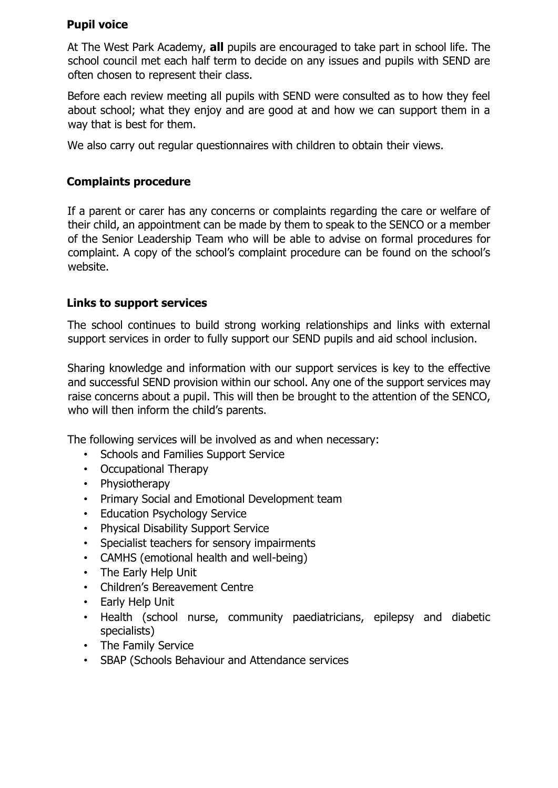## **Pupil voice**

At The West Park Academy, **all** pupils are encouraged to take part in school life. The school council met each half term to decide on any issues and pupils with SEND are often chosen to represent their class.

Before each review meeting all pupils with SEND were consulted as to how they feel about school; what they enjoy and are good at and how we can support them in a way that is best for them.

We also carry out regular questionnaires with children to obtain their views.

### **Complaints procedure**

If a parent or carer has any concerns or complaints regarding the care or welfare of their child, an appointment can be made by them to speak to the SENCO or a member of the Senior Leadership Team who will be able to advise on formal procedures for complaint. A copy of the school's complaint procedure can be found on the school's website.

### **Links to support services**

The school continues to build strong working relationships and links with external support services in order to fully support our SEND pupils and aid school inclusion.

Sharing knowledge and information with our support services is key to the effective and successful SEND provision within our school. Any one of the support services may raise concerns about a pupil. This will then be brought to the attention of the SENCO, who will then inform the child's parents.

The following services will be involved as and when necessary:

- Schools and Families Support Service
- Occupational Therapy
- Physiotherapy
- Primary Social and Emotional Development team
- Education Psychology Service
- Physical Disability Support Service
- Specialist teachers for sensory impairments
- CAMHS (emotional health and well-being)
- The Early Help Unit
- Children's Bereavement Centre
- Early Help Unit
- Health (school nurse, community paediatricians, epilepsy and diabetic specialists)
- The Family Service
- SBAP (Schools Behaviour and Attendance services